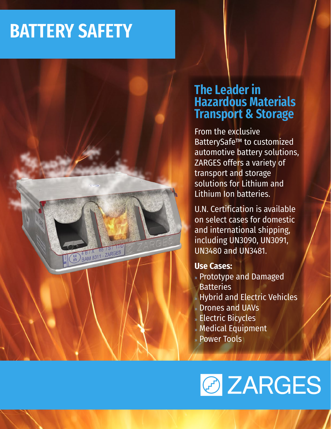## **BATTERY SAFETY**

 $6575$ H BIX 65 TS/17

## **The Leader in Hazardous Materials Transport & Storage**

From the exclusive BatterySafe™ to customized automotive battery solutions, ZARGES offers a variety of transport and storage solutions for Lithium and Lithium Ion batteries.

U.N. Certification is available on select cases for domestic and international shipping, including UN3090, UN3091, UN3480 and UN3481.

#### **Use Cases:**

- » Prototype and Damaged **Batteries**
- » Hybrid and Electric Vehicles
- » Drones and UAVs
- » Electric Bicycles
- » Medical Equipment
- » Power Tools